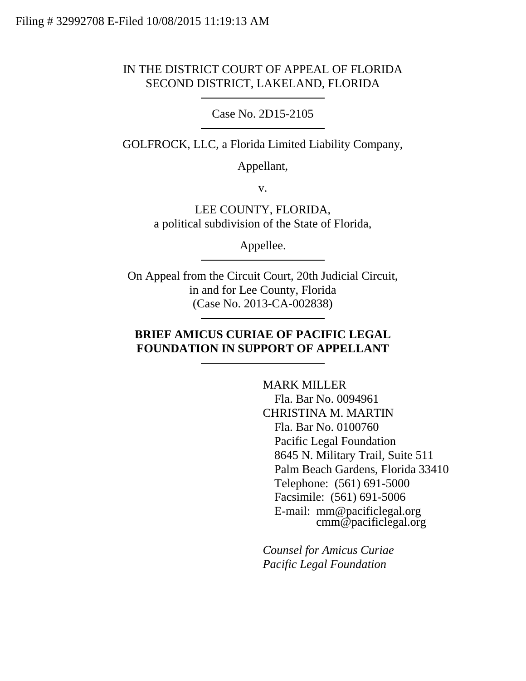## IN THE DISTRICT COURT OF APPEAL OF FLORIDA SECOND DISTRICT, LAKELAND, FLORIDA

Case No. 2D15-2105

GOLFROCK, LLC, a Florida Limited Liability Company,

Appellant,

v.

LEE COUNTY, FLORIDA, a political subdivision of the State of Florida,

Appellee.

On Appeal from the Circuit Court, 20th Judicial Circuit, in and for Lee County, Florida (Case No. 2013-CA-002838)

# **BRIEF AMICUS CURIAE OF PACIFIC LEGAL FOUNDATION IN SUPPORT OF APPELLANT**

MARK MILLER Fla. Bar No. 0094961 CHRISTINA M. MARTIN Fla. Bar No. 0100760 Pacific Legal Foundation 8645 N. Military Trail, Suite 511 Palm Beach Gardens, Florida 33410 Telephone: (561) 691-5000 Facsimile: (561) 691-5006 E-mail: mm@pacificlegal.org cmm@pacificlegal.org

*Counsel for Amicus Curiae Pacific Legal Foundation*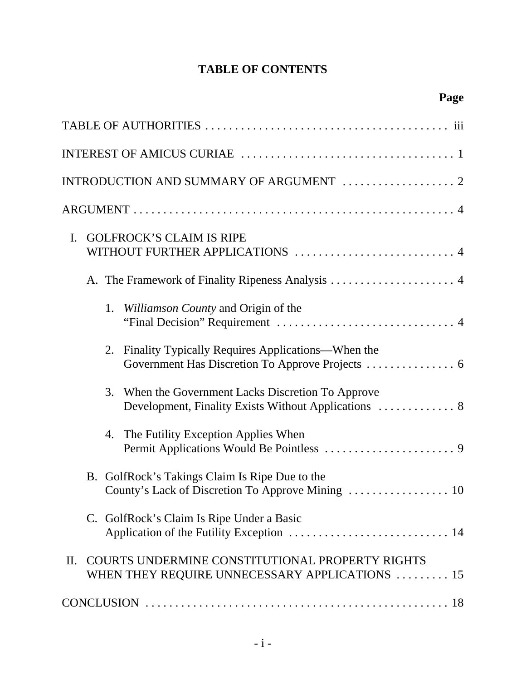# **TABLE OF CONTENTS**

| <b>GOLFROCK'S CLAIM IS RIPE</b><br>$\mathbf{I}$ .<br>WITHOUT FURTHER APPLICATIONS  4                         |
|--------------------------------------------------------------------------------------------------------------|
|                                                                                                              |
| 1. Williamson County and Origin of the                                                                       |
| 2. Finality Typically Requires Applications—When the                                                         |
| 3. When the Government Lacks Discretion To Approve<br>Development, Finality Exists Without Applications  8   |
| The Futility Exception Applies When<br>4.                                                                    |
| B. GolfRock's Takings Claim Is Ripe Due to the                                                               |
| C. GolfRock's Claim Is Ripe Under a Basic                                                                    |
| COURTS UNDERMINE CONSTITUTIONAL PROPERTY RIGHTS<br>$\Pi$ .<br>WHEN THEY REQUIRE UNNECESSARY APPLICATIONS  15 |
|                                                                                                              |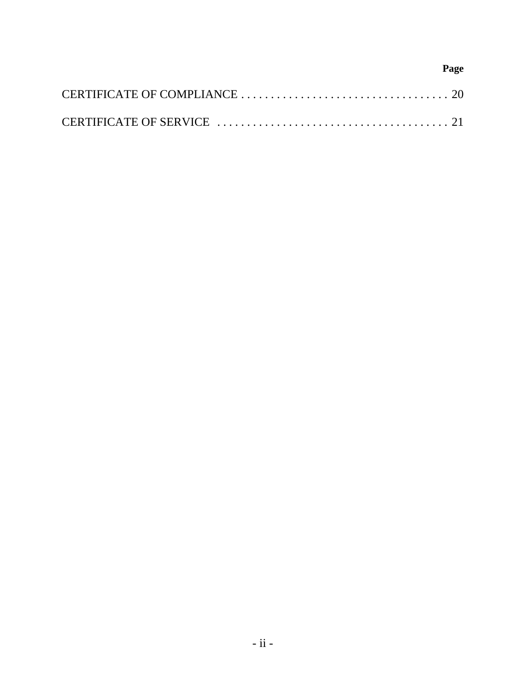# **Page**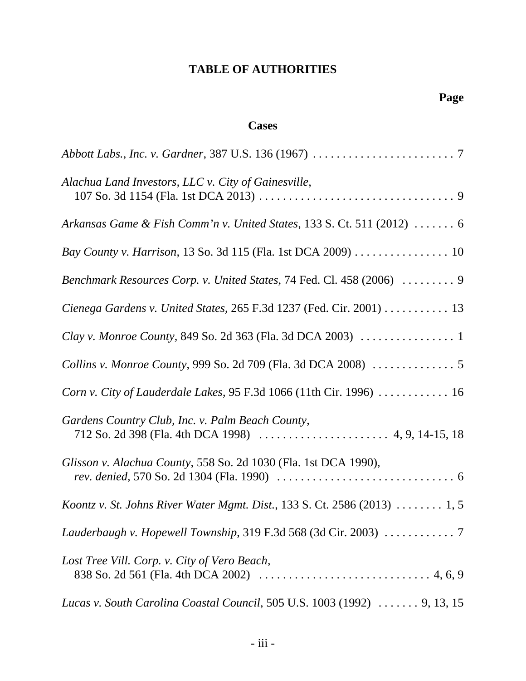# **TABLE OF AUTHORITIES**

# **Cases**

| Alachua Land Investors, LLC v. City of Gainesville,                                   |
|---------------------------------------------------------------------------------------|
| Arkansas Game & Fish Comm'n v. United States, 133 S. Ct. 511 (2012) $\ldots \ldots$ 6 |
| Bay County v. Harrison, 13 So. 3d 115 (Fla. 1st DCA 2009) 10                          |
| Benchmark Resources Corp. v. United States, 74 Fed. Cl. 458 (2006)  9                 |
| Cienega Gardens v. United States, 265 F.3d 1237 (Fed. Cir. 2001) 13                   |
|                                                                                       |
|                                                                                       |
| Corn v. City of Lauderdale Lakes, $95$ F.3d 1066 (11th Cir. 1996) 16                  |
| Gardens Country Club, Inc. v. Palm Beach County,                                      |
| Glisson v. Alachua County, 558 So. 2d 1030 (Fla. 1st DCA 1990),                       |
| Koontz v. St. Johns River Water Mgmt. Dist., 133 S. Ct. 2586 (2013)  1, 5             |
|                                                                                       |
| Lost Tree Vill. Corp. v. City of Vero Beach,                                          |
| Lucas v. South Carolina Coastal Council, 505 U.S. 1003 (1992)  9, 13, 15              |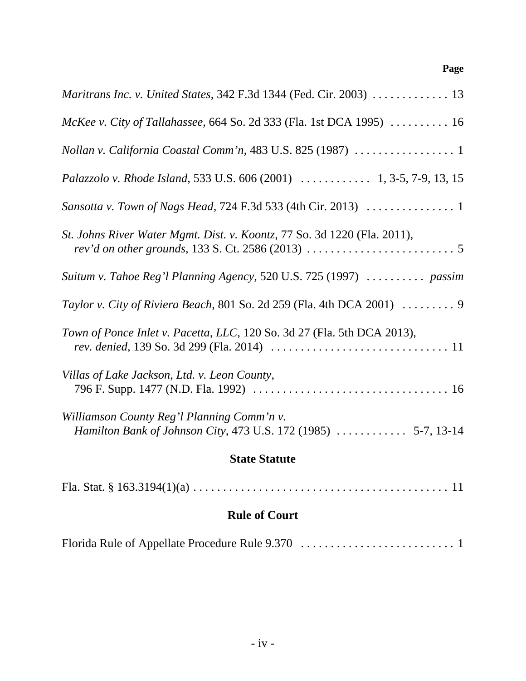# **Page**

| Maritrans Inc. v. United States, 342 F.3d 1344 (Fed. Cir. 2003)  13                                                                                                                            |  |  |
|------------------------------------------------------------------------------------------------------------------------------------------------------------------------------------------------|--|--|
| McKee v. City of Tallahassee, 664 So. 2d 333 (Fla. 1st DCA 1995)  16                                                                                                                           |  |  |
|                                                                                                                                                                                                |  |  |
| Palazzolo v. Rhode Island, 533 U.S. 606 (2001)  1, 3-5, 7-9, 13, 15                                                                                                                            |  |  |
|                                                                                                                                                                                                |  |  |
| St. Johns River Water Mgmt. Dist. v. Koontz, 77 So. 3d 1220 (Fla. 2011),<br><i>rev'd on other grounds</i> , 133 S. Ct. 2586 (2013) $\ldots \ldots \ldots \ldots \ldots \ldots \ldots \ldots 5$ |  |  |
| Suitum v. Tahoe Reg'l Planning Agency, 520 U.S. 725 (1997)  passim                                                                                                                             |  |  |
| Taylor v. City of Riviera Beach, 801 So. 2d 259 (Fla. 4th DCA 2001) $\ldots \ldots$ .                                                                                                          |  |  |
| Town of Ponce Inlet v. Pacetta, LLC, 120 So. 3d 27 (Fla. 5th DCA 2013),                                                                                                                        |  |  |
| Villas of Lake Jackson, Ltd. v. Leon County,                                                                                                                                                   |  |  |
| Williamson County Reg'l Planning Comm'n v.<br>Hamilton Bank of Johnson City, 473 U.S. 172 (1985)  5-7, 13-14                                                                                   |  |  |
| <b>State Statute</b>                                                                                                                                                                           |  |  |
|                                                                                                                                                                                                |  |  |

# **Rule of Court**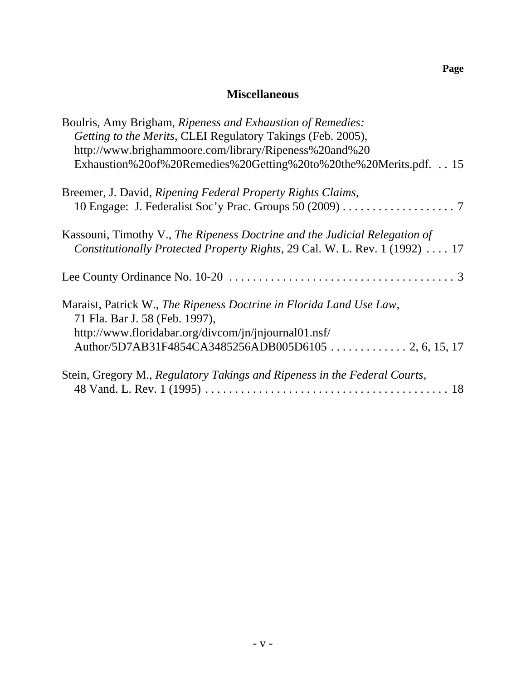# **Miscellaneous**

| Boulris, Amy Brigham, Ripeness and Exhaustion of Remedies:                                                                                                |
|-----------------------------------------------------------------------------------------------------------------------------------------------------------|
| Getting to the Merits, CLEI Regulatory Takings (Feb. 2005),                                                                                               |
| http://www.brighammoore.com/library/Ripeness%20and%20                                                                                                     |
| Exhaustion%20of%20Remedies%20Getting%20to%20the%20Merits.pdf. 15                                                                                          |
| Breemer, J. David, Ripening Federal Property Rights Claims,                                                                                               |
|                                                                                                                                                           |
| Kassouni, Timothy V., The Ripeness Doctrine and the Judicial Relegation of<br>Constitutionally Protected Property Rights, 29 Cal. W. L. Rev. 1 (1992)  17 |
|                                                                                                                                                           |
| Maraist, Patrick W., The Ripeness Doctrine in Florida Land Use Law,<br>71 Fla. Bar J. 58 (Feb. 1997),                                                     |
| http://www.floridabar.org/divcom/jn/jnjournal01.nsf/                                                                                                      |
|                                                                                                                                                           |
| Stein, Gregory M., Regulatory Takings and Ripeness in the Federal Courts,                                                                                 |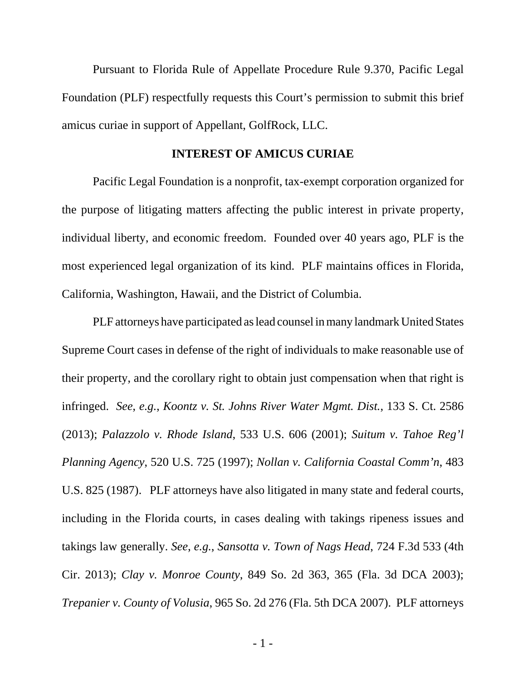Pursuant to Florida Rule of Appellate Procedure Rule 9.370, Pacific Legal Foundation (PLF) respectfully requests this Court's permission to submit this brief amicus curiae in support of Appellant, GolfRock, LLC.

#### **INTEREST OF AMICUS CURIAE**

Pacific Legal Foundation is a nonprofit, tax-exempt corporation organized for the purpose of litigating matters affecting the public interest in private property, individual liberty, and economic freedom. Founded over 40 years ago, PLF is the most experienced legal organization of its kind. PLF maintains offices in Florida, California, Washington, Hawaii, and the District of Columbia.

PLF attorneys have participated as lead counsel in many landmark United States Supreme Court cases in defense of the right of individuals to make reasonable use of their property, and the corollary right to obtain just compensation when that right is infringed. *See*, *e.g.*, *Koontz v. St. Johns River Water Mgmt. Dist.*, 133 S. Ct. 2586 (2013); *Palazzolo v. Rhode Island*, 533 U.S. 606 (2001); *Suitum v. Tahoe Reg'l Planning Agency*, 520 U.S. 725 (1997); *Nollan v. California Coastal Comm'n*, 483 U.S. 825 (1987). PLF attorneys have also litigated in many state and federal courts, including in the Florida courts, in cases dealing with takings ripeness issues and takings law generally. *See*, *e.g.*, *Sansotta v. Town of Nags Head*, 724 F.3d 533 (4th Cir. 2013); *Clay v. Monroe County*, 849 So. 2d 363, 365 (Fla. 3d DCA 2003); *Trepanier v. County of Volusia*, 965 So. 2d 276 (Fla. 5th DCA 2007). PLF attorneys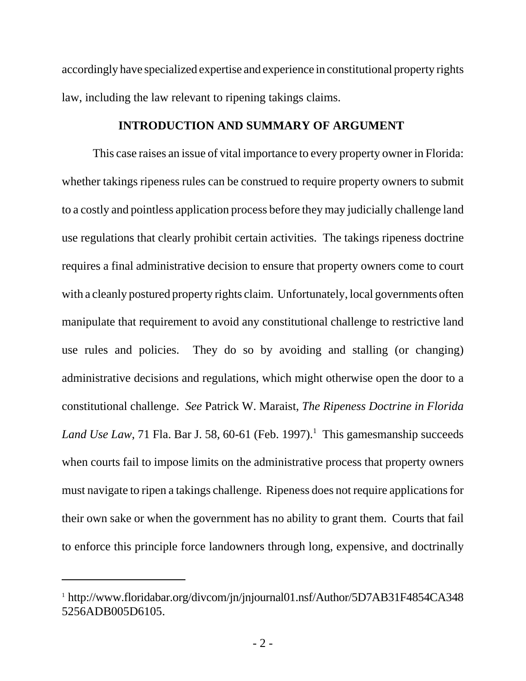accordingly have specialized expertise and experience in constitutional property rights law, including the law relevant to ripening takings claims.

#### **INTRODUCTION AND SUMMARY OF ARGUMENT**

This case raises an issue of vital importance to every property owner in Florida: whether takings ripeness rules can be construed to require property owners to submit to a costly and pointless application process before they may judicially challenge land use regulations that clearly prohibit certain activities. The takings ripeness doctrine requires a final administrative decision to ensure that property owners come to court with a cleanly postured property rights claim. Unfortunately, local governments often manipulate that requirement to avoid any constitutional challenge to restrictive land use rules and policies. They do so by avoiding and stalling (or changing) administrative decisions and regulations, which might otherwise open the door to a constitutional challenge. *See* Patrick W. Maraist, *The Ripeness Doctrine in Florida* Land Use Law, 71 Fla. Bar J. 58, 60-61 (Feb. 1997).<sup>1</sup> This gamesmanship succeeds when courts fail to impose limits on the administrative process that property owners must navigate to ripen a takings challenge. Ripeness does not require applications for their own sake or when the government has no ability to grant them. Courts that fail to enforce this principle force landowners through long, expensive, and doctrinally

<sup>1</sup> http://www.floridabar.org/divcom/jn/jnjournal01.nsf/Author/5D7AB31F4854CA348 5256ADB005D6105.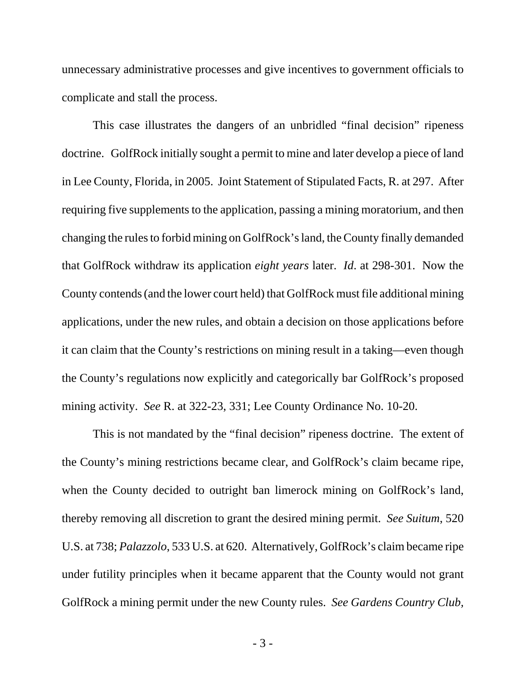unnecessary administrative processes and give incentives to government officials to complicate and stall the process.

This case illustrates the dangers of an unbridled "final decision" ripeness doctrine. GolfRock initially sought a permit to mine and later develop a piece of land in Lee County, Florida, in 2005. Joint Statement of Stipulated Facts, R. at 297. After requiring five supplements to the application, passing a mining moratorium, and then changing the rules to forbid mining on GolfRock's land, the County finally demanded that GolfRock withdraw its application *eight years* later. *Id*. at 298-301. Now the County contends (and the lower court held) that GolfRock must file additional mining applications, under the new rules, and obtain a decision on those applications before it can claim that the County's restrictions on mining result in a taking—even though the County's regulations now explicitly and categorically bar GolfRock's proposed mining activity. *See* R. at 322-23, 331; Lee County Ordinance No. 10-20.

This is not mandated by the "final decision" ripeness doctrine. The extent of the County's mining restrictions became clear, and GolfRock's claim became ripe, when the County decided to outright ban limerock mining on GolfRock's land, thereby removing all discretion to grant the desired mining permit. *See Suitum*, 520 U.S. at 738; *Palazzolo*, 533 U.S. at 620. Alternatively, GolfRock's claim became ripe under futility principles when it became apparent that the County would not grant GolfRock a mining permit under the new County rules. *See Gardens Country Club,*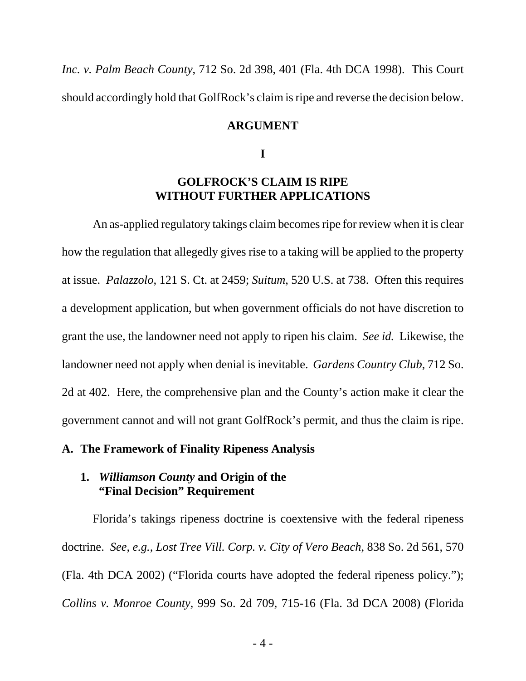*Inc. v. Palm Beach County*, 712 So. 2d 398, 401 (Fla. 4th DCA 1998). This Court should accordingly hold that GolfRock's claim is ripe and reverse the decision below.

#### **ARGUMENT**

**I**

### **GOLFROCK'S CLAIM IS RIPE WITHOUT FURTHER APPLICATIONS**

An as-applied regulatory takings claim becomes ripe for review when it is clear how the regulation that allegedly gives rise to a taking will be applied to the property at issue. *Palazzolo*, 121 S. Ct. at 2459; *Suitum*, 520 U.S. at 738. Often this requires a development application, but when government officials do not have discretion to grant the use, the landowner need not apply to ripen his claim. *See id.* Likewise, the landowner need not apply when denial is inevitable. *Gardens Country Club*, 712 So. 2d at 402. Here, the comprehensive plan and the County's action make it clear the government cannot and will not grant GolfRock's permit, and thus the claim is ripe.

#### **A. The Framework of Finality Ripeness Analysis**

#### **1.** *Williamson County* **and Origin of the "Final Decision" Requirement**

Florida's takings ripeness doctrine is coextensive with the federal ripeness doctrine. *See*, *e.g.*, *Lost Tree Vill. Corp. v. City of Vero Beach*, 838 So. 2d 561, 570 (Fla. 4th DCA 2002) ("Florida courts have adopted the federal ripeness policy."); *Collins v. Monroe County*, 999 So. 2d 709, 715-16 (Fla. 3d DCA 2008) (Florida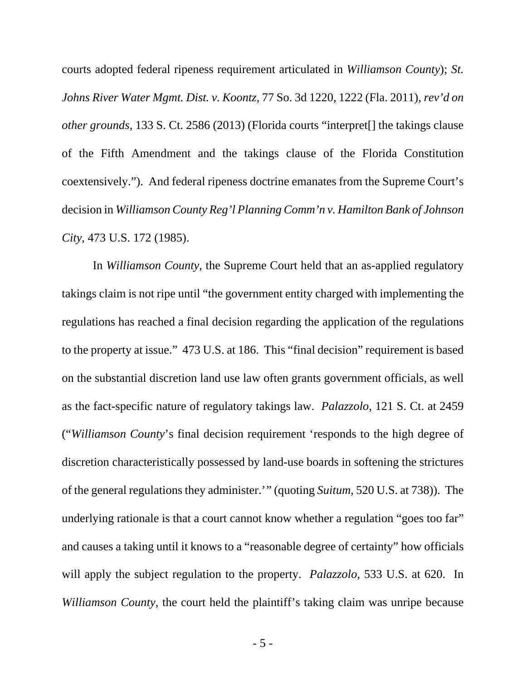courts adopted federal ripeness requirement articulated in *Williamson County*); *St. Johns River Water Mgmt. Dist. v. Koontz*, 77 So. 3d 1220, 1222 (Fla. 2011), *rev'd on other grounds*, 133 S. Ct. 2586 (2013) (Florida courts "interpret[] the takings clause of the Fifth Amendment and the takings clause of the Florida Constitution coextensively."). And federal ripeness doctrine emanates from the Supreme Court's decision in *Williamson County Reg'l Planning Comm'n v. Hamilton Bank of Johnson City*, 473 U.S. 172 (1985).

In *Williamson County*, the Supreme Court held that an as-applied regulatory takings claim is not ripe until "the government entity charged with implementing the regulations has reached a final decision regarding the application of the regulations to the property at issue." 473 U.S. at 186. This "final decision" requirement is based on the substantial discretion land use law often grants government officials, as well as the fact-specific nature of regulatory takings law. *Palazzolo*, 121 S. Ct. at 2459 ("*Williamson County*'s final decision requirement 'responds to the high degree of discretion characteristically possessed by land-use boards in softening the strictures of the general regulations they administer.'" (quoting *Suitum*, 520 U.S. at 738)). The underlying rationale is that a court cannot know whether a regulation "goes too far" and causes a taking until it knows to a "reasonable degree of certainty" how officials will apply the subject regulation to the property. *Palazzolo*, 533 U.S. at 620. In *Williamson County*, the court held the plaintiff's taking claim was unripe because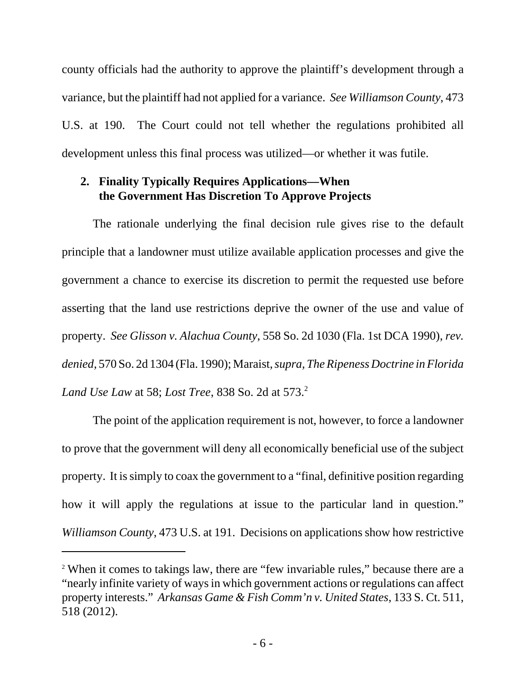county officials had the authority to approve the plaintiff's development through a variance, but the plaintiff had not applied for a variance. *See Williamson County*, 473 U.S. at 190. The Court could not tell whether the regulations prohibited all development unless this final process was utilized—or whether it was futile.

# **2. Finality Typically Requires Applications—When the Government Has Discretion To Approve Projects**

The rationale underlying the final decision rule gives rise to the default principle that a landowner must utilize available application processes and give the government a chance to exercise its discretion to permit the requested use before asserting that the land use restrictions deprive the owner of the use and value of property. *See Glisson v. Alachua County*, 558 So. 2d 1030 (Fla. 1st DCA 1990), *rev. denied*, 570 So. 2d 1304 (Fla. 1990); Maraist, *supra, The Ripeness Doctrine in Florida Land Use Law at 58; Lost Tree, 838 So. 2d at 573.*<sup>2</sup>

The point of the application requirement is not, however, to force a landowner to prove that the government will deny all economically beneficial use of the subject property. It is simply to coax the government to a "final, definitive position regarding how it will apply the regulations at issue to the particular land in question." *Williamson County*, 473 U.S. at 191. Decisions on applications show how restrictive

<sup>2</sup> When it comes to takings law, there are "few invariable rules," because there are a "nearly infinite variety of ways in which government actions or regulations can affect property interests." *Arkansas Game & Fish Comm'n v. United States*, 133 S. Ct. 511, 518 (2012).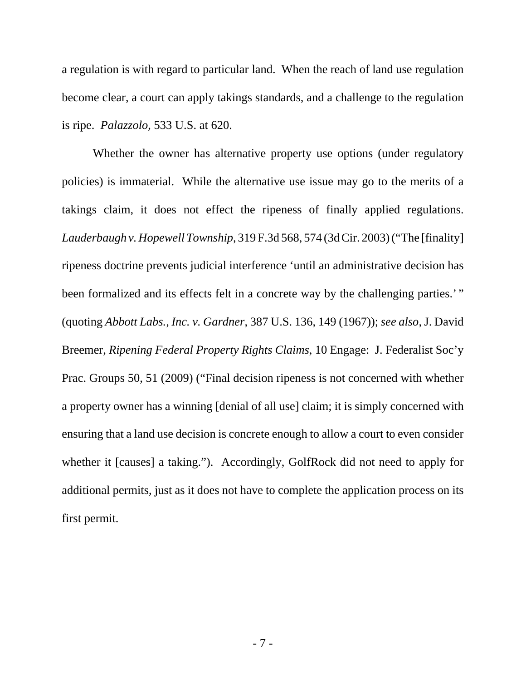a regulation is with regard to particular land. When the reach of land use regulation become clear, a court can apply takings standards, and a challenge to the regulation is ripe. *Palazzolo*, 533 U.S. at 620.

Whether the owner has alternative property use options (under regulatory policies) is immaterial. While the alternative use issue may go to the merits of a takings claim, it does not effect the ripeness of finally applied regulations. *Lauderbaugh v. Hopewell Township*, 319 F.3d 568, 574 (3d Cir. 2003) ("The [finality] ripeness doctrine prevents judicial interference 'until an administrative decision has been formalized and its effects felt in a concrete way by the challenging parties.'" (quoting *Abbott Labs., Inc. v. Gardner*, 387 U.S. 136, 149 (1967)); *see also*, J. David Breemer, *Ripening Federal Property Rights Claims*, 10 Engage: J. Federalist Soc'y Prac. Groups 50, 51 (2009) ("Final decision ripeness is not concerned with whether a property owner has a winning [denial of all use] claim; it is simply concerned with ensuring that a land use decision is concrete enough to allow a court to even consider whether it [causes] a taking."). Accordingly, GolfRock did not need to apply for additional permits, just as it does not have to complete the application process on its first permit.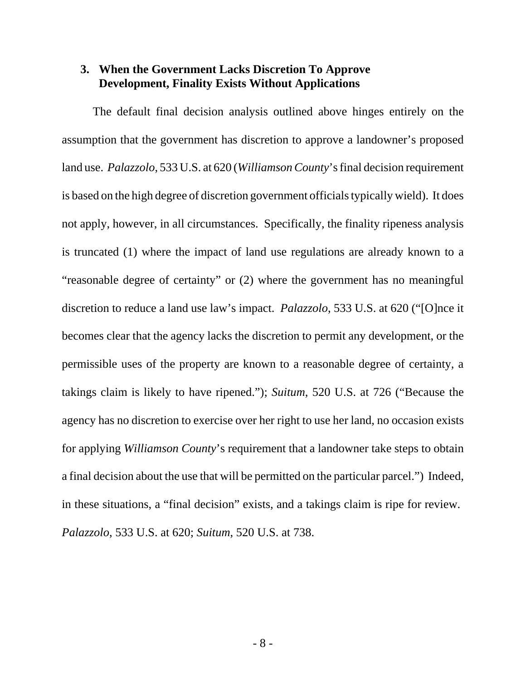### **3. When the Government Lacks Discretion To Approve Development, Finality Exists Without Applications**

The default final decision analysis outlined above hinges entirely on the assumption that the government has discretion to approve a landowner's proposed land use. *Palazzolo*, 533 U.S. at 620 (*Williamson County*'sfinal decision requirement is based on the high degree of discretion government officials typically wield). It does not apply, however, in all circumstances. Specifically, the finality ripeness analysis is truncated (1) where the impact of land use regulations are already known to a "reasonable degree of certainty" or (2) where the government has no meaningful discretion to reduce a land use law's impact. *Palazzolo*, 533 U.S. at 620 ("[O]nce it becomes clear that the agency lacks the discretion to permit any development, or the permissible uses of the property are known to a reasonable degree of certainty, a takings claim is likely to have ripened."); *Suitum*, 520 U.S. at 726 ("Because the agency has no discretion to exercise over her right to use her land, no occasion exists for applying *Williamson County*'s requirement that a landowner take steps to obtain a final decision about the use that will be permitted on the particular parcel.") Indeed, in these situations, a "final decision" exists, and a takings claim is ripe for review. *Palazzolo*, 533 U.S. at 620; *Suitum*, 520 U.S. at 738.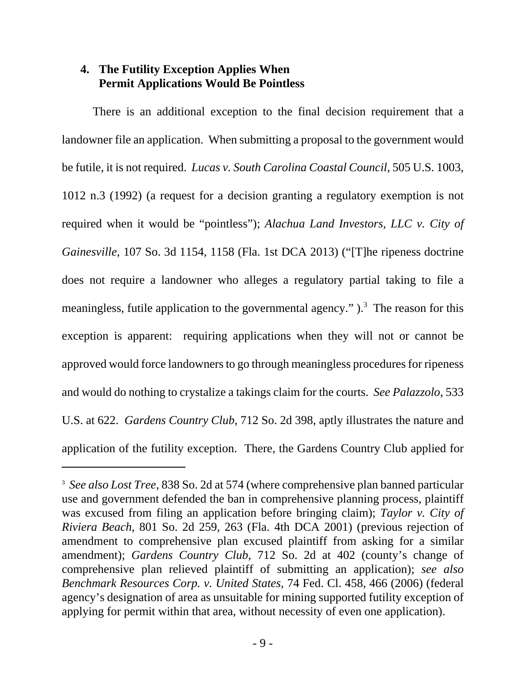# **4. The Futility Exception Applies When Permit Applications Would Be Pointless**

There is an additional exception to the final decision requirement that a landowner file an application. When submitting a proposal to the government would be futile, it is not required. *Lucas v. South Carolina Coastal Council*, 505 U.S. 1003, 1012 n.3 (1992) (a request for a decision granting a regulatory exemption is not required when it would be "pointless"); *Alachua Land Investors, LLC v. City of Gainesville*, 107 So. 3d 1154, 1158 (Fla. 1st DCA 2013) ("[T]he ripeness doctrine does not require a landowner who alleges a regulatory partial taking to file a meaningless, futile application to the governmental agency."  $)$ .<sup>3</sup> The reason for this exception is apparent: requiring applications when they will not or cannot be approved would force landowners to go through meaningless procedures for ripeness and would do nothing to crystalize a takings claim for the courts. *See Palazzolo*, 533 U.S. at 622. *Gardens Country Club*, 712 So. 2d 398, aptly illustrates the nature and application of the futility exception. There, the Gardens Country Club applied for

<sup>3</sup> *See also Lost Tree*, 838 So. 2d at 574 (where comprehensive plan banned particular use and government defended the ban in comprehensive planning process, plaintiff was excused from filing an application before bringing claim); *Taylor v. City of Riviera Beach*, 801 So. 2d 259, 263 (Fla. 4th DCA 2001) (previous rejection of amendment to comprehensive plan excused plaintiff from asking for a similar amendment); *Gardens Country Club*, 712 So. 2d at 402 (county's change of comprehensive plan relieved plaintiff of submitting an application); *see also Benchmark Resources Corp. v. United States*, 74 Fed. Cl. 458, 466 (2006) (federal agency's designation of area as unsuitable for mining supported futility exception of applying for permit within that area, without necessity of even one application).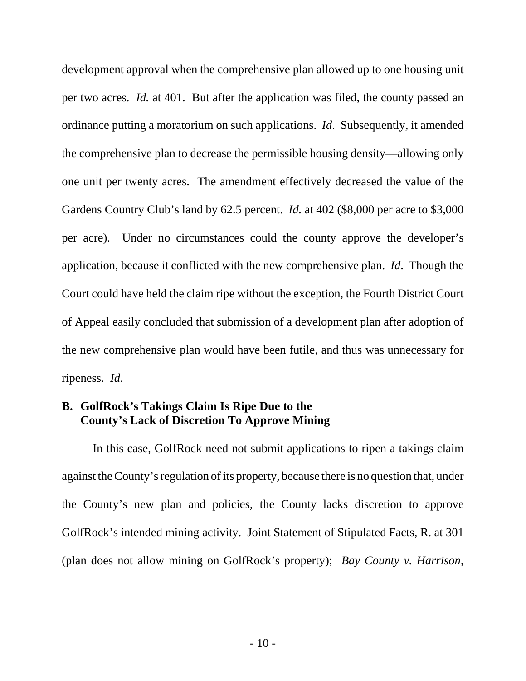development approval when the comprehensive plan allowed up to one housing unit per two acres. *Id.* at 401. But after the application was filed, the county passed an ordinance putting a moratorium on such applications. *Id*. Subsequently, it amended the comprehensive plan to decrease the permissible housing density—allowing only one unit per twenty acres. The amendment effectively decreased the value of the Gardens Country Club's land by 62.5 percent. *Id.* at 402 (\$8,000 per acre to \$3,000 per acre). Under no circumstances could the county approve the developer's application, because it conflicted with the new comprehensive plan. *Id*. Though the Court could have held the claim ripe without the exception, the Fourth District Court of Appeal easily concluded that submission of a development plan after adoption of the new comprehensive plan would have been futile, and thus was unnecessary for ripeness. *Id*.

# **B. GolfRock's Takings Claim Is Ripe Due to the County's Lack of Discretion To Approve Mining**

In this case, GolfRock need not submit applications to ripen a takings claim against the County's regulation of its property, because there is no question that, under the County's new plan and policies, the County lacks discretion to approve GolfRock's intended mining activity. Joint Statement of Stipulated Facts, R. at 301 (plan does not allow mining on GolfRock's property); *Bay County v. Harrison*,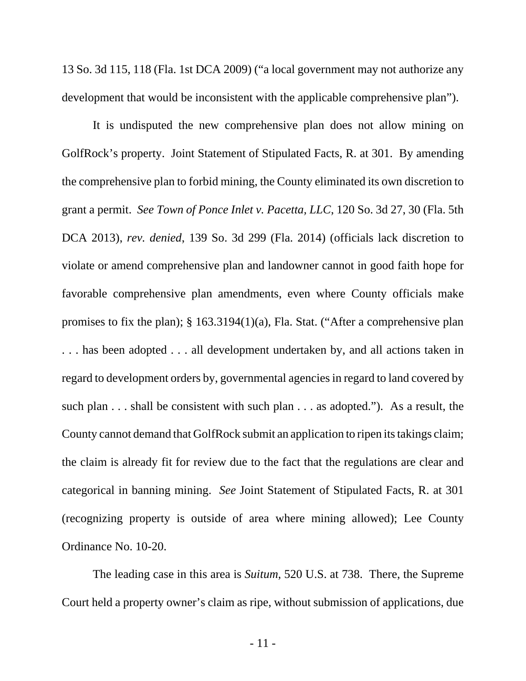13 So. 3d 115, 118 (Fla. 1st DCA 2009) ("a local government may not authorize any development that would be inconsistent with the applicable comprehensive plan").

It is undisputed the new comprehensive plan does not allow mining on GolfRock's property. Joint Statement of Stipulated Facts, R. at 301. By amending the comprehensive plan to forbid mining, the County eliminated its own discretion to grant a permit. *See Town of Ponce Inlet v. Pacetta, LLC*, 120 So. 3d 27, 30 (Fla. 5th DCA 2013), *rev. denied*, 139 So. 3d 299 (Fla. 2014) (officials lack discretion to violate or amend comprehensive plan and landowner cannot in good faith hope for favorable comprehensive plan amendments, even where County officials make promises to fix the plan); § 163.3194(1)(a), Fla. Stat. ("After a comprehensive plan . . . has been adopted . . . all development undertaken by, and all actions taken in regard to development orders by, governmental agencies in regard to land covered by such plan . . . shall be consistent with such plan . . . as adopted."). As a result, the County cannot demand that GolfRock submit an application to ripen its takings claim; the claim is already fit for review due to the fact that the regulations are clear and categorical in banning mining. *See* Joint Statement of Stipulated Facts, R. at 301 (recognizing property is outside of area where mining allowed); Lee County Ordinance No. 10-20.

The leading case in this area is *Suitum*, 520 U.S. at 738. There, the Supreme Court held a property owner's claim as ripe, without submission of applications, due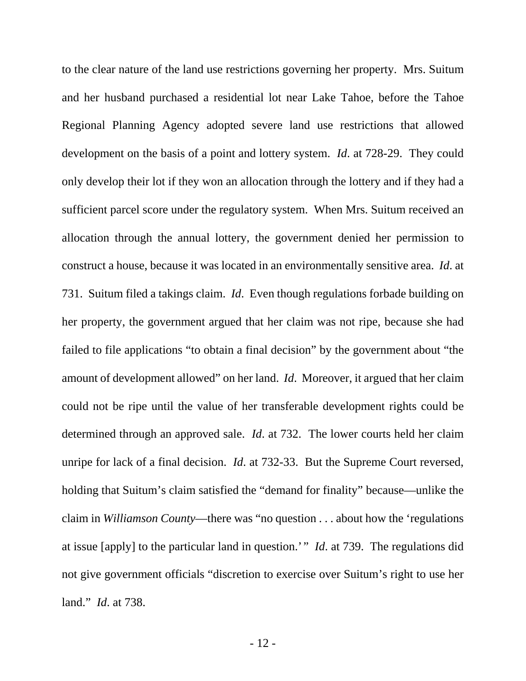to the clear nature of the land use restrictions governing her property. Mrs. Suitum and her husband purchased a residential lot near Lake Tahoe, before the Tahoe Regional Planning Agency adopted severe land use restrictions that allowed development on the basis of a point and lottery system. *Id*. at 728-29. They could only develop their lot if they won an allocation through the lottery and if they had a sufficient parcel score under the regulatory system. When Mrs. Suitum received an allocation through the annual lottery, the government denied her permission to construct a house, because it was located in an environmentally sensitive area. *Id*. at 731. Suitum filed a takings claim. *Id*. Even though regulations forbade building on her property, the government argued that her claim was not ripe, because she had failed to file applications "to obtain a final decision" by the government about "the amount of development allowed" on her land. *Id*. Moreover, it argued that her claim could not be ripe until the value of her transferable development rights could be determined through an approved sale. *Id*. at 732. The lower courts held her claim unripe for lack of a final decision. *Id*. at 732-33. But the Supreme Court reversed, holding that Suitum's claim satisfied the "demand for finality" because—unlike the claim in *Williamson County*—there was "no question . . . about how the 'regulations at issue [apply] to the particular land in question.' " *Id*. at 739. The regulations did not give government officials "discretion to exercise over Suitum's right to use her land." *Id*. at 738.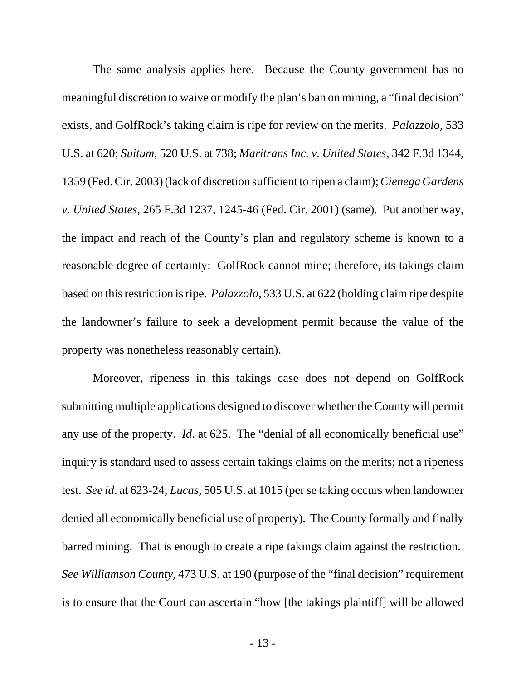The same analysis applies here. Because the County government has no meaningful discretion to waive or modify the plan's ban on mining, a "final decision" exists, and GolfRock's taking claim is ripe for review on the merits. *Palazzolo*, 533 U.S. at 620; *Suitum*, 520 U.S. at 738; *Maritrans Inc. v. United States*, 342 F.3d 1344, 1359 (Fed. Cir. 2003) (lack of discretion sufficient to ripen a claim); *Cienega Gardens v. United States*, 265 F.3d 1237, 1245-46 (Fed. Cir. 2001) (same). Put another way, the impact and reach of the County's plan and regulatory scheme is known to a reasonable degree of certainty: GolfRock cannot mine; therefore, its takings claim based on this restriction is ripe. *Palazzolo*, 533 U.S. at 622 (holding claim ripe despite the landowner's failure to seek a development permit because the value of the property was nonetheless reasonably certain).

Moreover, ripeness in this takings case does not depend on GolfRock submitting multiple applications designed to discover whether the County will permit any use of the property. *Id*. at 625. The "denial of all economically beneficial use" inquiry is standard used to assess certain takings claims on the merits; not a ripeness test. *See id*. at 623-24; *Lucas*, 505 U.S. at 1015 (per se taking occurs when landowner denied all economically beneficial use of property). The County formally and finally barred mining. That is enough to create a ripe takings claim against the restriction. *See Williamson County*, 473 U.S. at 190 (purpose of the "final decision" requirement is to ensure that the Court can ascertain "how [the takings plaintiff] will be allowed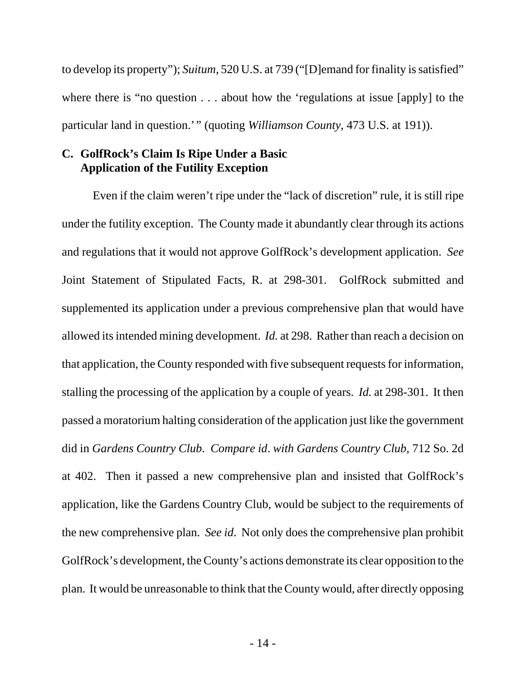to develop its property"); *Suitum*, 520 U.S. at 739 ("[D]emand for finality is satisfied" where there is "no question . . . about how the 'regulations at issue [apply] to the particular land in question.'" (quoting *Williamson County*, 473 U.S. at 191)).

### **C. GolfRock's Claim Is Ripe Under a Basic Application of the Futility Exception**

Even if the claim weren't ripe under the "lack of discretion" rule, it is still ripe under the futility exception. The County made it abundantly clear through its actions and regulations that it would not approve GolfRock's development application. *See* Joint Statement of Stipulated Facts, R. at 298-301. GolfRock submitted and supplemented its application under a previous comprehensive plan that would have allowed its intended mining development. *Id.* at 298. Rather than reach a decision on that application, the County responded with five subsequent requests for information, stalling the processing of the application by a couple of years. *Id.* at 298-301. It then passed a moratorium halting consideration of the application just like the government did in *Gardens Country Club*. *Compare id*. *with Gardens Country Club*, 712 So. 2d at 402. Then it passed a new comprehensive plan and insisted that GolfRock's application, like the Gardens Country Club, would be subject to the requirements of the new comprehensive plan. *See id*. Not only does the comprehensive plan prohibit GolfRock's development, the County's actions demonstrate its clear opposition to the plan. It would be unreasonable to think that the County would, after directly opposing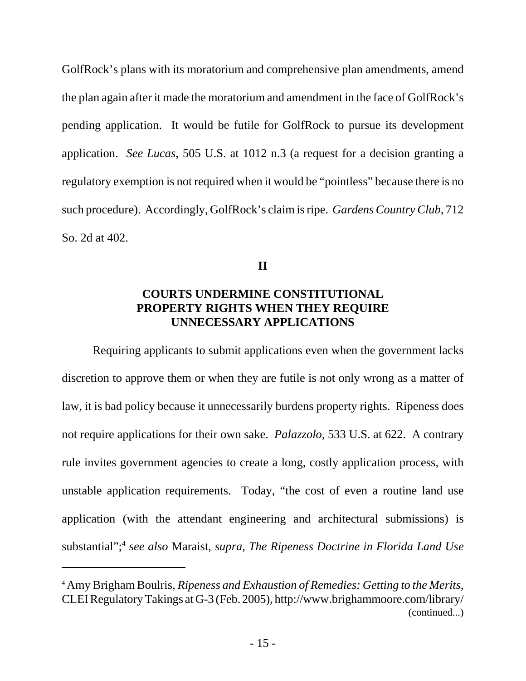GolfRock's plans with its moratorium and comprehensive plan amendments, amend the plan again after it made the moratorium and amendment in the face of GolfRock's pending application. It would be futile for GolfRock to pursue its development application. *See Lucas*, 505 U.S. at 1012 n.3 (a request for a decision granting a regulatory exemption is not required when it would be "pointless" because there is no such procedure). Accordingly, GolfRock's claim is ripe. *Gardens Country Club*, 712 So. 2d at 402.

**II**

# **COURTS UNDERMINE CONSTITUTIONAL PROPERTY RIGHTS WHEN THEY REQUIRE UNNECESSARY APPLICATIONS**

Requiring applicants to submit applications even when the government lacks discretion to approve them or when they are futile is not only wrong as a matter of law, it is bad policy because it unnecessarily burdens property rights. Ripeness does not require applications for their own sake. *Palazzolo*, 533 U.S. at 622. A contrary rule invites government agencies to create a long, costly application process, with unstable application requirements. Today, "the cost of even a routine land use application (with the attendant engineering and architectural submissions) is substantial";4 *see also* Maraist, *supra*, *The Ripeness Doctrine in Florida Land Use*

<sup>4</sup> Amy Brigham Boulris, *Ripeness and Exhaustion of Remedies: Getting to the Merits*, CLEI Regulatory Takings at G-3 (Feb. 2005), http://www.brighammoore.com/library/ (continued...)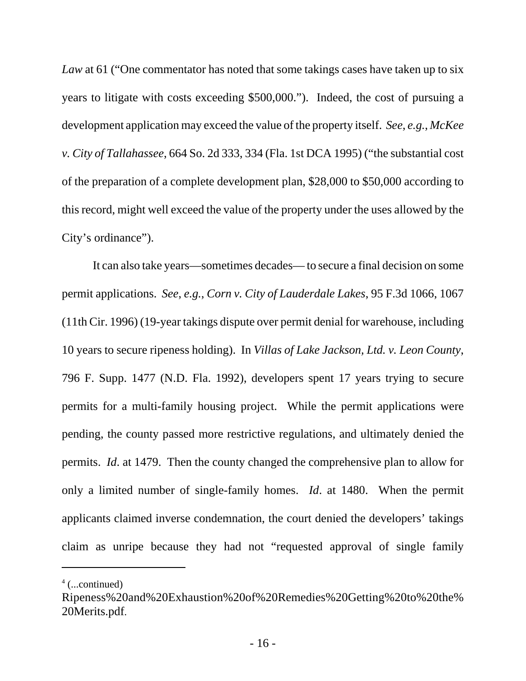*Law* at 61 ("One commentator has noted that some takings cases have taken up to six years to litigate with costs exceeding \$500,000."). Indeed, the cost of pursuing a development application may exceed the value of the property itself. *See*, *e.g.*, *McKee v. City of Tallahassee*, 664 So. 2d 333, 334 (Fla. 1st DCA 1995) ("the substantial cost of the preparation of a complete development plan, \$28,000 to \$50,000 according to this record, might well exceed the value of the property under the uses allowed by the City's ordinance").

It can also take years—sometimes decades— to secure a final decision on some permit applications. *See*, *e.g.*, *Corn v. City of Lauderdale Lakes*, 95 F.3d 1066, 1067 (11th Cir. 1996) (19-year takings dispute over permit denial for warehouse, including 10 years to secure ripeness holding). In *Villas of Lake Jackson, Ltd. v. Leon County*, 796 F. Supp. 1477 (N.D. Fla. 1992), developers spent 17 years trying to secure permits for a multi-family housing project. While the permit applications were pending, the county passed more restrictive regulations, and ultimately denied the permits. *Id*. at 1479. Then the county changed the comprehensive plan to allow for only a limited number of single-family homes. *Id*. at 1480. When the permit applicants claimed inverse condemnation, the court denied the developers' takings claim as unripe because they had not "requested approval of single family

<sup>4</sup> (...continued)

Ripeness%20and%20Exhaustion%20of%20Remedies%20Getting%20to%20the% 20Merits.pdf.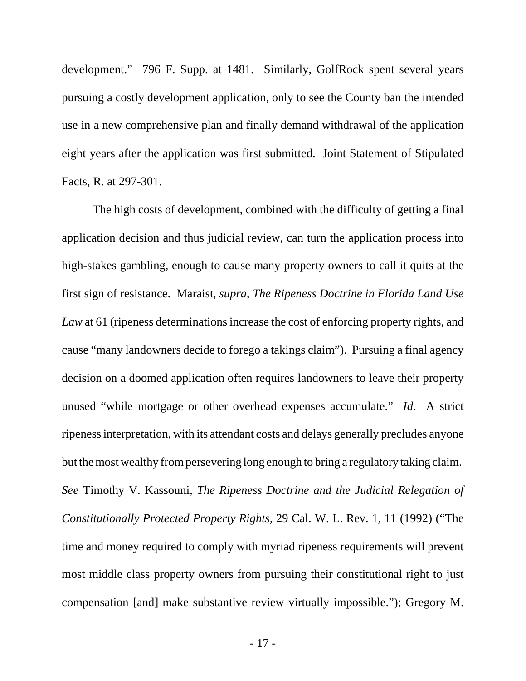development." 796 F. Supp. at 1481. Similarly, GolfRock spent several years pursuing a costly development application, only to see the County ban the intended use in a new comprehensive plan and finally demand withdrawal of the application eight years after the application was first submitted. Joint Statement of Stipulated Facts, R. at 297-301.

The high costs of development, combined with the difficulty of getting a final application decision and thus judicial review, can turn the application process into high-stakes gambling, enough to cause many property owners to call it quits at the first sign of resistance. Maraist, *supra*, *The Ripeness Doctrine in Florida Land Use* Law at 61 (ripeness determinations increase the cost of enforcing property rights, and cause "many landowners decide to forego a takings claim"). Pursuing a final agency decision on a doomed application often requires landowners to leave their property unused "while mortgage or other overhead expenses accumulate." *Id*. A strict ripeness interpretation, with its attendant costs and delays generally precludes anyone but the most wealthy from persevering long enough to bring a regulatory taking claim. *See* Timothy V. Kassouni, *The Ripeness Doctrine and the Judicial Relegation of Constitutionally Protected Property Rights*, 29 Cal. W. L. Rev. 1, 11 (1992) ("The time and money required to comply with myriad ripeness requirements will prevent most middle class property owners from pursuing their constitutional right to just compensation [and] make substantive review virtually impossible."); Gregory M.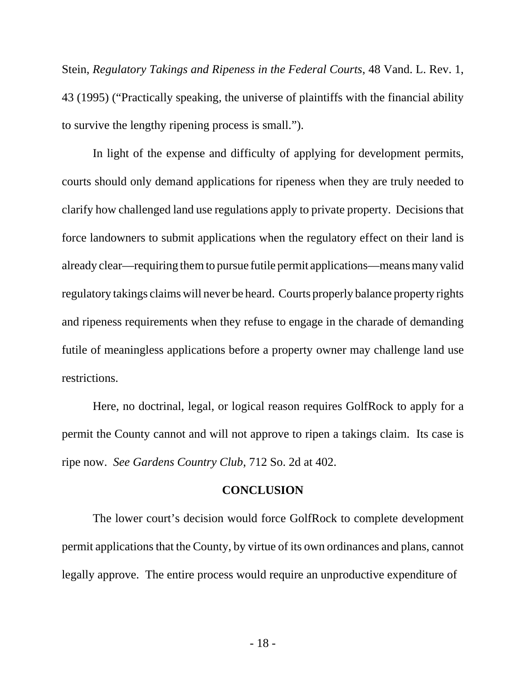Stein, *Regulatory Takings and Ripeness in the Federal Courts*, 48 Vand. L. Rev. 1, 43 (1995) ("Practically speaking, the universe of plaintiffs with the financial ability to survive the lengthy ripening process is small.").

In light of the expense and difficulty of applying for development permits, courts should only demand applications for ripeness when they are truly needed to clarify how challenged land use regulations apply to private property. Decisions that force landowners to submit applications when the regulatory effect on their land is already clear—requiring them to pursue futile permit applications—means many valid regulatory takings claims will never be heard. Courts properly balance property rights and ripeness requirements when they refuse to engage in the charade of demanding futile of meaningless applications before a property owner may challenge land use restrictions.

Here, no doctrinal, legal, or logical reason requires GolfRock to apply for a permit the County cannot and will not approve to ripen a takings claim. Its case is ripe now. *See Gardens Country Club*, 712 So. 2d at 402.

#### **CONCLUSION**

The lower court's decision would force GolfRock to complete development permit applications that the County, by virtue of its own ordinances and plans, cannot legally approve. The entire process would require an unproductive expenditure of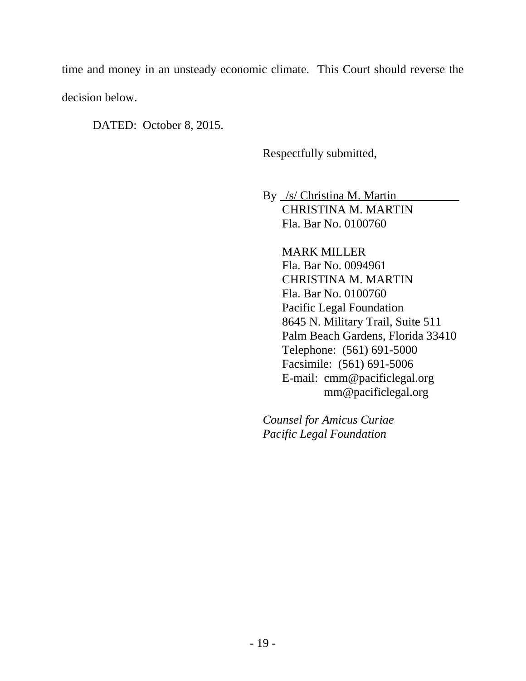time and money in an unsteady economic climate. This Court should reverse the decision below.

DATED: October 8, 2015.

Respectfully submitted,

By /s/ Christina M. Martin CHRISTINA M. MARTIN Fla. Bar No. 0100760

> MARK MILLER Fla. Bar No. 0094961 CHRISTINA M. MARTIN Fla. Bar No. 0100760 Pacific Legal Foundation 8645 N. Military Trail, Suite 511 Palm Beach Gardens, Florida 33410 Telephone: (561) 691-5000 Facsimile: (561) 691-5006 E-mail: cmm@pacificlegal.org mm@pacificlegal.org

*Counsel for Amicus Curiae Pacific Legal Foundation*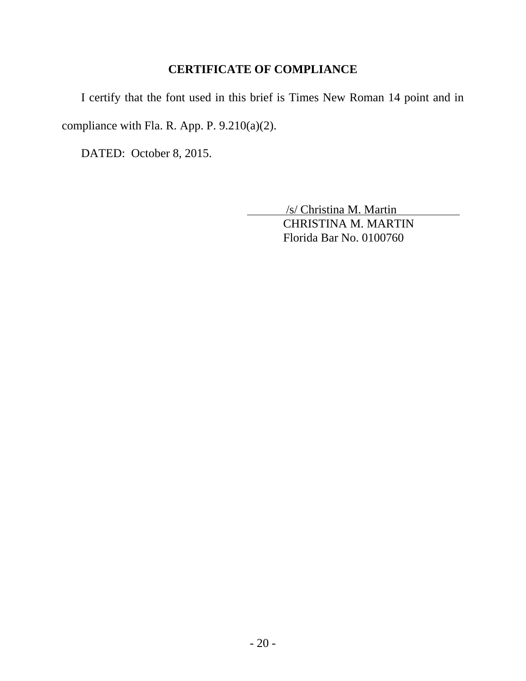# **CERTIFICATE OF COMPLIANCE**

I certify that the font used in this brief is Times New Roman 14 point and in compliance with Fla. R. App. P. 9.210(a)(2).

DATED: October 8, 2015.

 /s/ Christina M. Martin CHRISTINA M. MARTIN Florida Bar No. 0100760